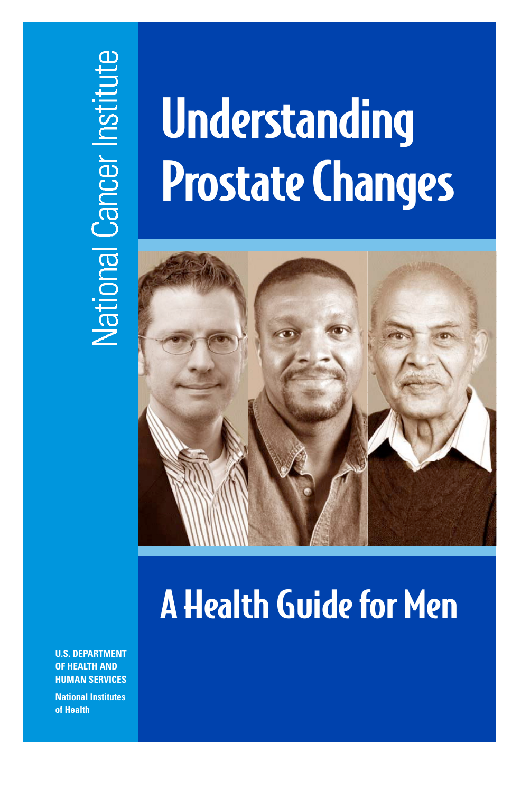# **Vational Cancer Institute**

# Understanding Prostate Changes



# **A Health Guide for Men**

**U.S. DEPARTMENT OF HEALTH AND HUMAN SERVICES**

**National Institutes of Health**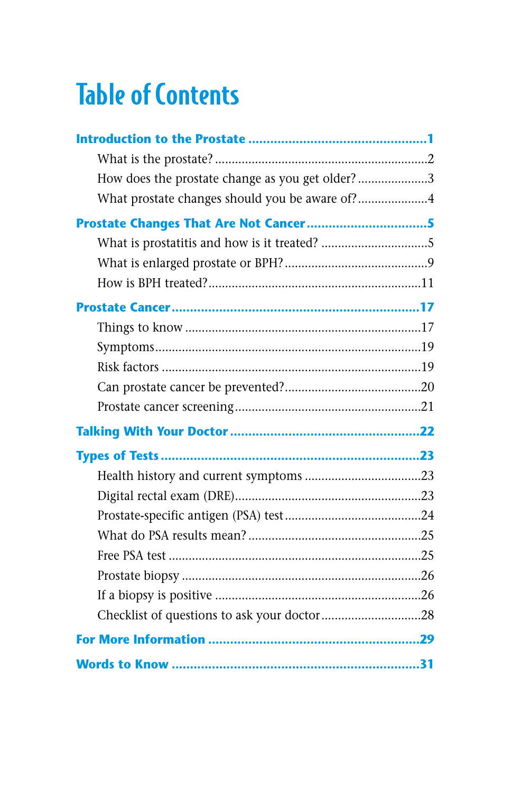# Table of Contents

| How does the prostate change as you get older?3 |  |
|-------------------------------------------------|--|
| What prostate changes should you be aware of?4  |  |
|                                                 |  |
|                                                 |  |
|                                                 |  |
|                                                 |  |
|                                                 |  |
|                                                 |  |
|                                                 |  |
|                                                 |  |
|                                                 |  |
|                                                 |  |
|                                                 |  |
|                                                 |  |
|                                                 |  |
|                                                 |  |
|                                                 |  |
|                                                 |  |
|                                                 |  |
|                                                 |  |
|                                                 |  |
|                                                 |  |
|                                                 |  |
|                                                 |  |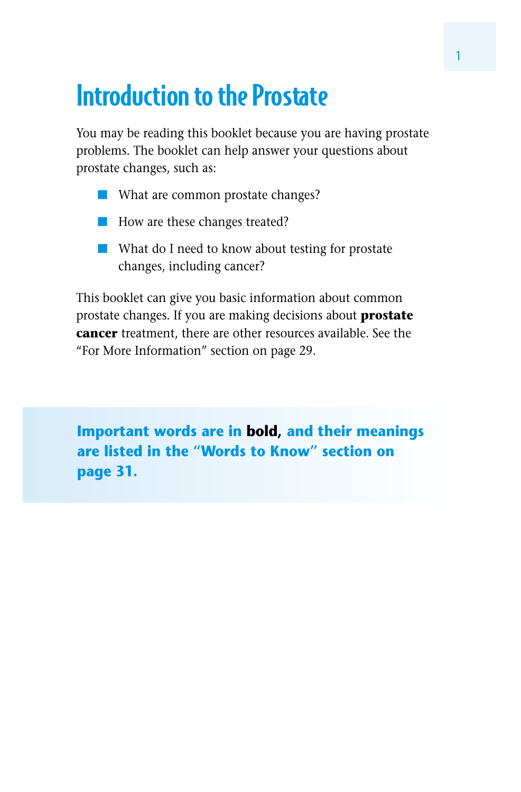# **Introduction to the Prostate**

You may be reading this booklet because you are having prostate problems. The booklet can help answer your questions about prostate changes, such as:

- **I** What are common prostate changes?
- I How are these changes treated?
- **I** What do I need to know about testing for prostate changes, including cancer?

This booklet can give you basic information about common prostate changes. If you are making decisions about **prostate cancer** treatment, there are other resources available. See the "For More Information" section on page 29.

**Important words are in bold, and their meanings are listed in the "Words to Know" section on page 31.**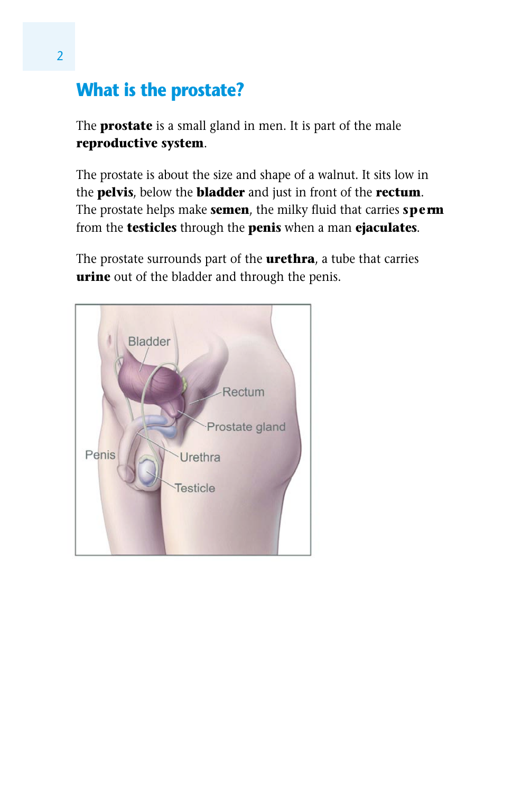# **What is the prostate?**

The **prostate** is a small gland in men. It is part of the male **reproductive system**.

The prostate is about the size and shape of a walnut. It sits low in the **pelvis**, below the **bladder** and just in front of the **rectum**. The prostate helps make **semen**, the milky fluid that carries **sperm** from the **testicles** through the **penis** when a man **ejaculates**.

The prostate surrounds part of the **urethra**, a tube that carries **urine** out of the bladder and through the penis.

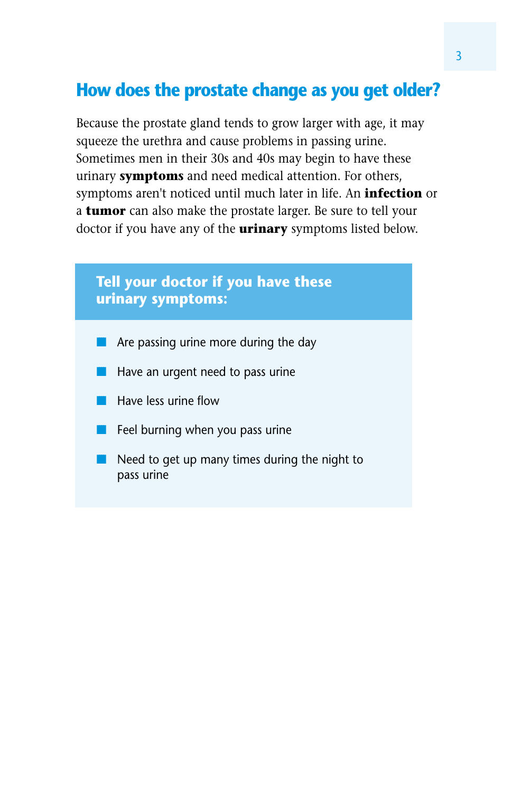# **How does the prostate change as you get older?**

Because the prostate gland tends to grow larger with age, it may squeeze the urethra and cause problems in passing urine. Sometimes men in their 30s and 40s may begin to have these urinary **symptoms** and need medical attention. For others, symptoms aren't noticed until much later in life. An **infection** or a **tumor** can also make the prostate larger. Be sure to tell your doctor if you have any of the **urinary** symptoms listed below.

# **Tell your doctor if you have these urinary symptoms:**

- $\blacksquare$  Are passing urine more during the day
- Have an urgent need to pass urine
- $\blacksquare$  Have less urine flow
- $\blacksquare$  Feel burning when you pass urine
- $\blacksquare$  Need to get up many times during the night to pass urine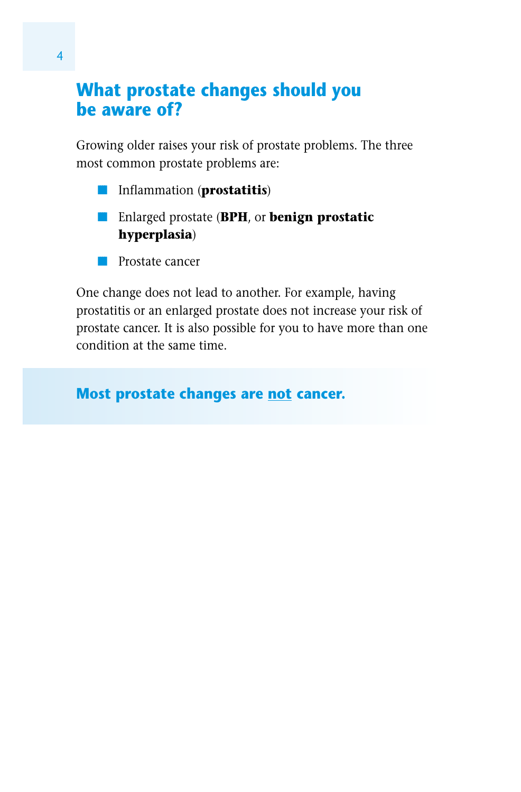# **What prostate changes should you be aware of?**

Growing older raises your risk of prostate problems. The three most common prostate problems are:

- **I** Inflammation (**prostatitis**)
- **I** Enlarged prostate (BPH, or **benign prostatic hyperplasia**)
- **I** Prostate cancer

One change does not lead to another. For example, having prostatitis or an enlarged prostate does not increase your risk of prostate cancer. It is also possible for you to have more than one condition at the same time.

**Most prostate changes are not cancer.**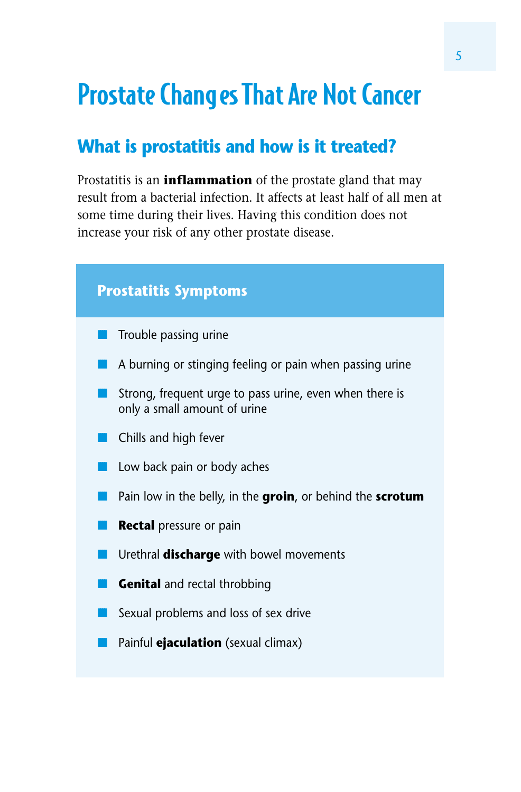# **Prostate Chang es That Are Not Cancer**

# **What is prostatitis and how is it treated?**

Prostatitis is an **inflammation** of the prostate gland that may result from a bacterial infection. It affects at least half of all men at some time during their lives. Having this condition does not increase your risk of any other prostate disease.

# **Prostatitis Symptoms**

- Trouble passing urine
- A burning or stinging feeling or pain when passing urine
- Strong, frequent urge to pass urine, even when there is only a small amount of urine
- $\blacksquare$  Chills and high fever
- $\blacksquare$  Low back pain or body aches
- **I** Pain low in the belly, in the groin, or behind the scrotum
- **Rectal** pressure or pain
- **I** Urethral **discharge** with bowel movements
- **I Genital** and rectal throbbing
- $\blacksquare$  Sexual problems and loss of sex drive
- **I** Painful **ejaculation** (sexual climax)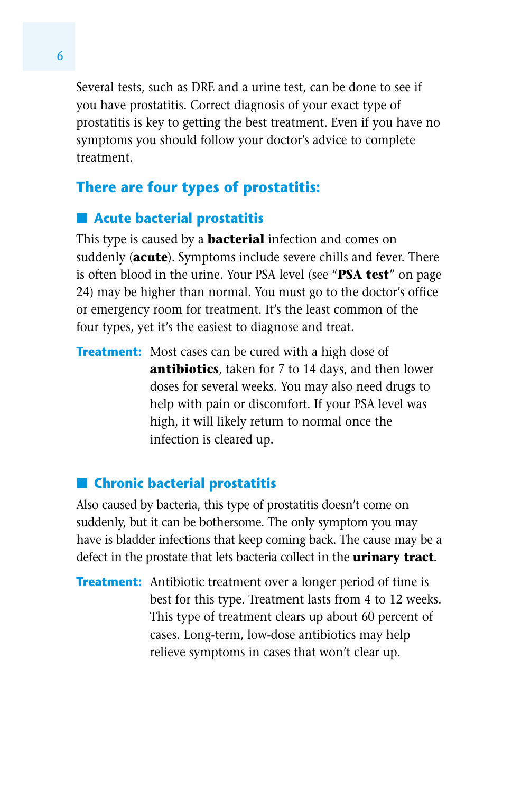Several tests, such as DRE and a urine test, can be done to see if you have prostatitis. Correct diagnosis of your exact type of prostatitis is key to getting the best treatment. Even if you have no symptoms you should follow your doctor's advice to complete treatment.

# **There are four types of prostatitis:**

### $\blacksquare$  Acute bacterial prostatitis

This type is caused by a **bacterial** infection and comes on suddenly (**acute**). Symptoms include severe chills and fever. There is often blood in the urine. Your PSA level (see "**PSA test**" on page 24) may be higher than normal. You must go to the doctor's office or emergency room for treatment. It's the least common of the four types, yet it's the easiest to diagnose and treat.

**Treatment:** Most cases can be cured with a high dose of **antibiotics**, taken for 7 to 14 days, and then lower doses for several weeks. You may also need drugs to help with pain or discomfort. If your PSA level was high, it will likely return to normal once the infection is cleared up.

## $\blacksquare$  Chronic bacterial prostatitis

Also caused by bacteria, this type of prostatitis doesn't come on suddenly, but it can be bothersome. The only symptom you may have is bladder infections that keep coming back. The cause may be a defect in the prostate that lets bacteria collect in the **urinary tract**.

**Treatment:** Antibiotic treatment over a longer period of time is best for this type. Treatment lasts from 4 to 12 weeks. This type of treatment clears up about 60 percent of cases. Long-term, low-dose antibiotics may help relieve symptoms in cases that won't clear up.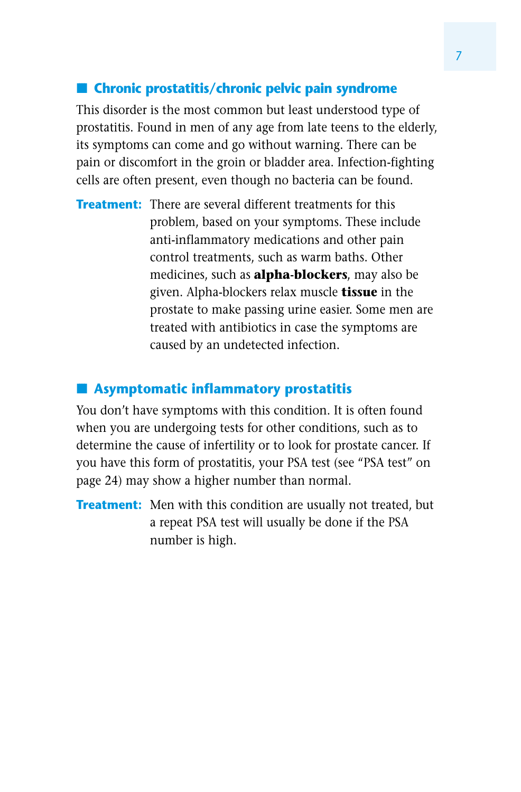# $\blacksquare$  **Chronic prostatitis/chronic pelvic pain syndrome**

This disorder is the most common but least understood type of prostatitis. Found in men of any age from late teens to the elderly, its symptoms can come and go without warning. There can be pain or discomfort in the groin or bladder area. Infection-fighting cells are often present, even though no bacteria can be found.

**Treatment:** There are several different treatments for this problem, based on your symptoms. These include anti-inflammatory medications and other pain control treatments, such as warm baths. Other medicines, such as **alpha-blockers**, may also be given. Alpha-blockers relax muscle **tissue** in the prostate to make passing urine easier. Some men are treated with antibiotics in case the symptoms are caused by an undetected infection.

### $\blacksquare$  Asymptomatic inflammatory prostatitis

You don't have symptoms with this condition. It is often found when you are undergoing tests for other conditions, such as to determine the cause of infertility or to look for prostate cancer. If you have this form of prostatitis, your PSA test (see "PSA test" on page 24) may show a higher number than normal.

**Treatment:** Men with this condition are usually not treated, but a repeat PSA test will usually be done if the PSA number is high.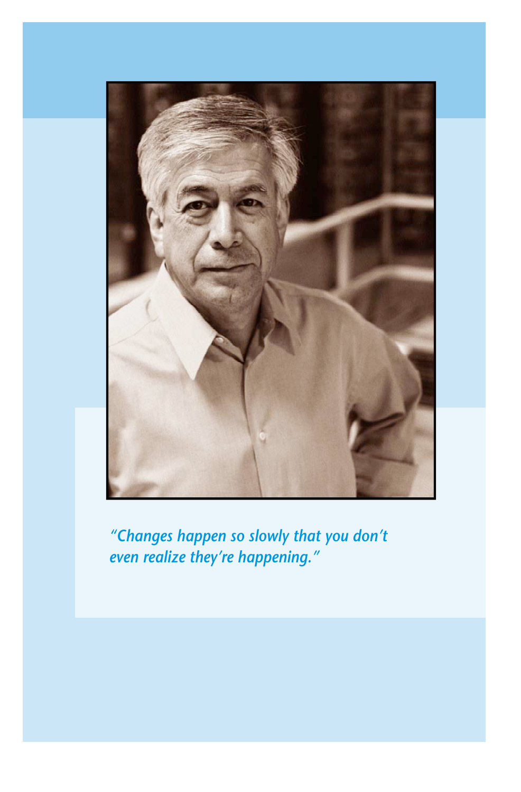

*"Changes happen so slowly that you don't even realize they're happening."*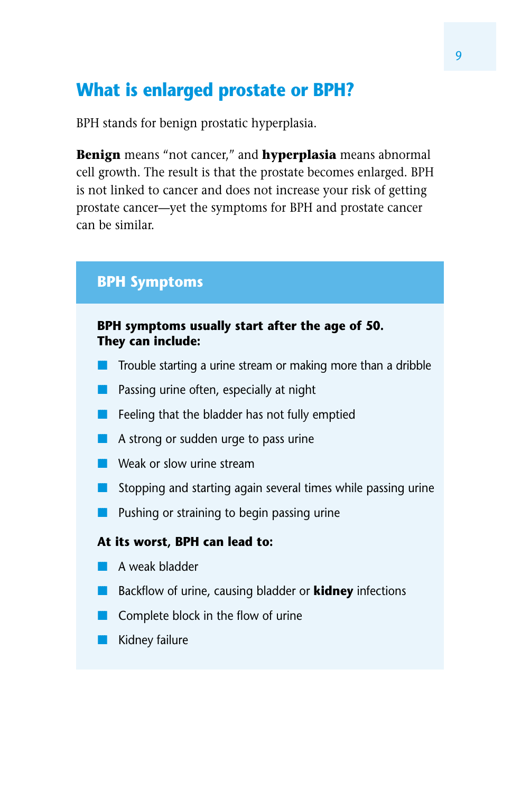# **What is enlarged prostate or BPH?**

BPH stands for benign prostatic hyperplasia.

**Benign** means "not cancer," and **hyperplasia** means abnormal cell growth. The result is that the prostate becomes enlarged. BPH is not linked to cancer and does not increase your risk of getting prostate cancer—yet the symptoms for BPH and prostate cancer can be similar.

# **BPH Symptoms**

### **BPH symptoms usually start after the age of 50. They can include:**

- **I** Trouble starting a urine stream or making more than a dribble
- **I** Passing urine often, especially at night
- $\blacksquare$  Feeling that the bladder has not fully emptied
- $\blacksquare$  A strong or sudden urge to pass urine
- I Weak or slow urine stream
- **I** Stopping and starting again several times while passing urine
- **I** Pushing or straining to begin passing urine

### **At its worst, BPH can lead to:**

- A weak bladder
- **I** Backflow of urine, causing bladder or **kidney** infections
- $\blacksquare$  Complete block in the flow of urine
- $\blacksquare$  Kidney failure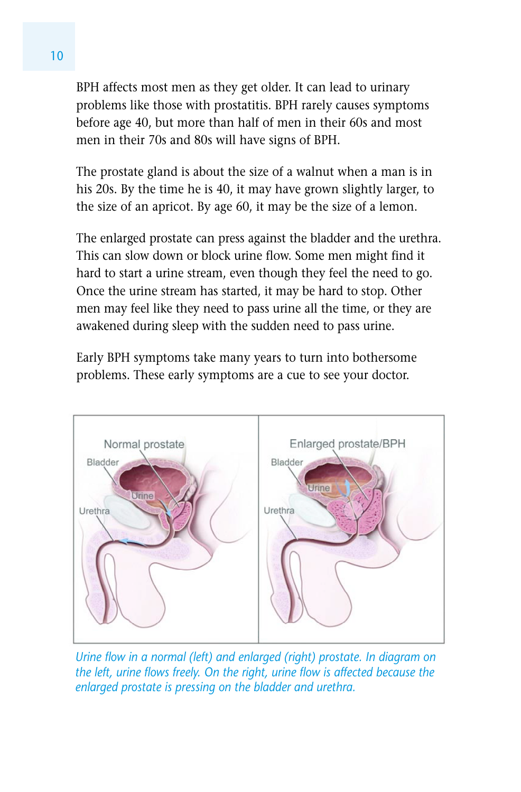BPH affects most men as they get older. It can lead to urinary problems like those with prostatitis. BPH rarely causes symptoms before age 40, but more than half of men in their 60s and most men in their 70s and 80s will have signs of BPH.

The prostate gland is about the size of a walnut when a man is in his 20s. By the time he is 40, it may have grown slightly larger, to the size of an apricot. By age 60, it may be the size of a lemon.

The enlarged prostate can press against the bladder and the urethra. This can slow down or block urine flow. Some men might find it hard to start a urine stream, even though they feel the need to go. Once the urine stream has started, it may be hard to stop. Other men may feel like they need to pass urine all the time, or they are awakened during sleep with the sudden need to pass urine.

Early BPH symptoms take many years to turn into bothersome problems. These early symptoms are a cue to see your doctor.



*Urine flow in a normal (left) and enlarged (right) prostate. In diagram on the left, urine flows freely. On the right, urine flow is affected because the enlarged prostate is pressing on the bladder and urethra.*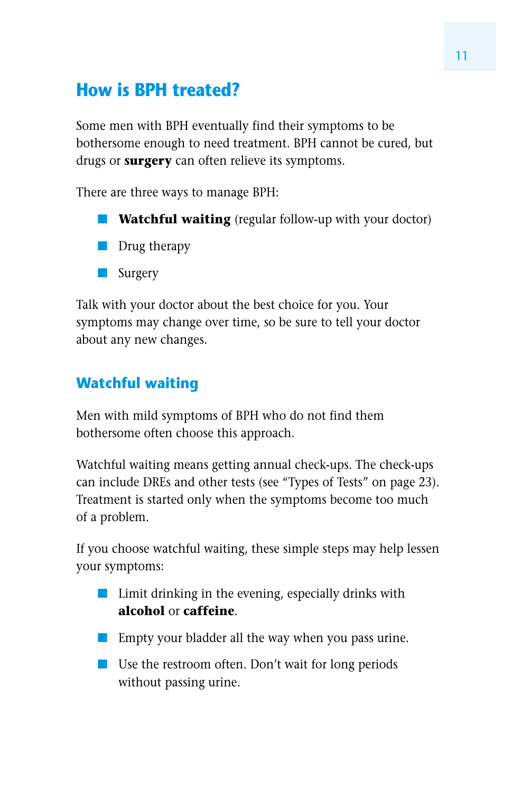# **How is BPH treated?**

Some men with BPH eventually find their symptoms to be bothersome enough to need treatment. BPH cannot be cured, but drugs or **surgery** can often relieve its symptoms.

There are three ways to manage BPH:

- **Watchful waiting** (regular follow-up with your doctor)
- $\blacksquare$  Drug therapy
- $\blacksquare$  Surgery

Talk with your doctor about the best choice for you. Your symptoms may change over time, so be sure to tell your doctor about any new changes.

# **Watchful waiting**

Men with mild symptoms of BPH who do not find them bothersome often choose this approach.

Watchful waiting means getting annual check-ups. The check-ups can include DREs and other tests (see "Types of Tests" on page 23). Treatment is started only when the symptoms become too much of a problem.

If you choose watchful waiting, these simple steps may help lessen your symptoms:

- $\blacksquare$  Limit drinking in the evening, especially drinks with **alcohol** or **caffeine**.
- **I** Empty your bladder all the way when you pass urine.
- $\blacksquare$  Use the restroom often. Don't wait for long periods without passing urine.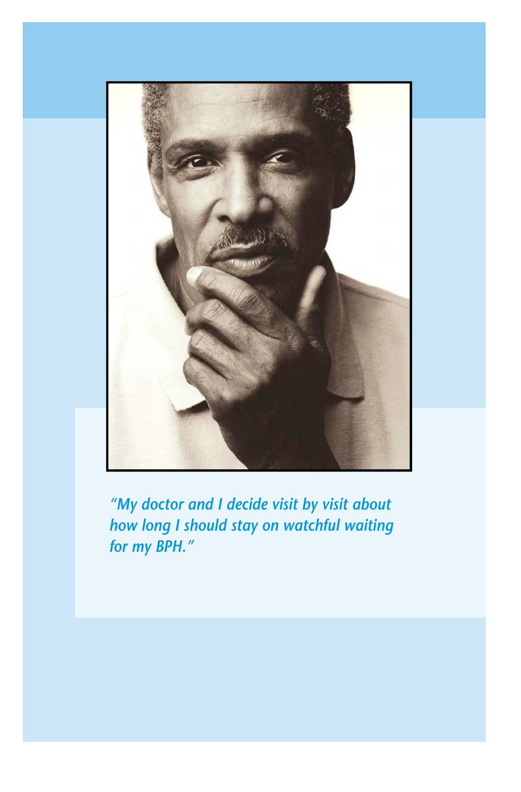

*"My doctor and I decide visit by visit about how long I should stay on watchful waiting for my BPH."*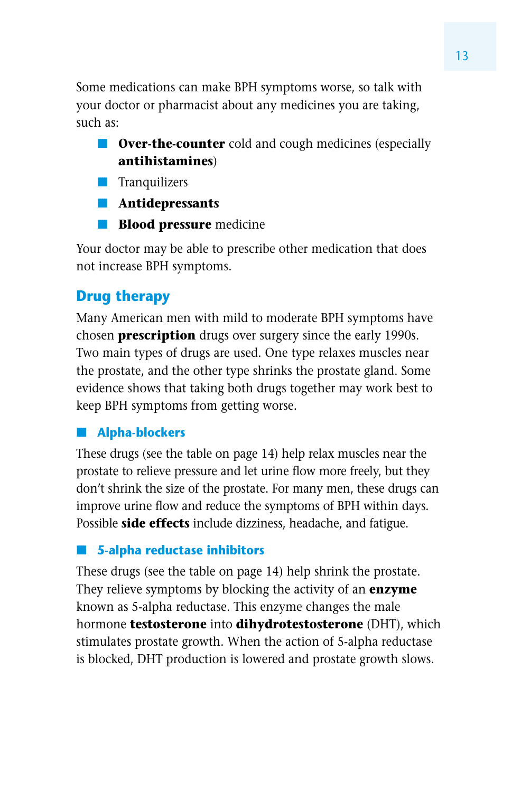Some medications can make BPH symptoms worse, so talk with your doctor or pharmacist about any medicines you are taking, such as:

- **I** Over-the-counter cold and cough medicines (especially **antihistamines**)
- $\blacksquare$  Tranquilizers
- **I** Antidepressants
- **Blood pressure** medicine

Your doctor may be able to prescribe other medication that does not increase BPH symptoms.

# **Drug therapy**

Many American men with mild to moderate BPH symptoms have chosen **prescription** drugs over surgery since the early 1990s. Two main types of drugs are used. One type relaxes muscles near the prostate, and the other type shrinks the prostate gland. Some evidence shows that taking both drugs together may work best to keep BPH symptoms from getting worse.

## I I I I **Alpha-blockers**

These drugs (see the table on page 14) help relax muscles near the prostate to relieve pressure and let urine flow more freely, but they don't shrink the size of the prostate. For many men, these drugs can improve urine flow and reduce the symptoms of BPH within days. Possible **side effects** include dizziness, headache, and fatigue.

## I I I I **5-alpha reductase inhibitors**

These drugs (see the table on page 14) help shrink the prostate. They relieve symptoms by blocking the activity of an **enzyme** known as 5-alpha reductase. This enzyme changes the male hormone **testosterone** into **dihydrotestosterone** (DHT), which stimulates prostate growth. When the action of 5-alpha reductase is blocked, DHT production is lowered and prostate growth slows.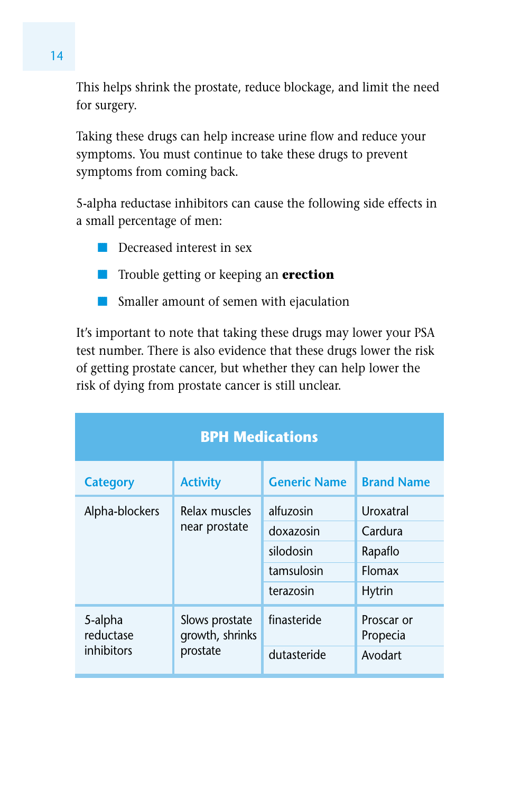This helps shrink the prostate, reduce blockage, and limit the need for surgery.

Taking these drugs can help increase urine flow and reduce your symptoms. You must continue to take these drugs to prevent symptoms from coming back.

5-alpha reductase inhibitors can cause the following side effects in a small percentage of men:

- **I** Decreased interest in sex
- **I** Trouble getting or keeping an **erection**
- $\blacksquare$  Smaller amount of semen with ejaculation

It's important to note that taking these drugs may lower your PSA test number. There is also evidence that these drugs lower the risk of getting prostate cancer, but whether they can help lower the risk of dying from prostate cancer is still unclear.

| <b>BPH Medications</b>             |                                   |                     |                        |
|------------------------------------|-----------------------------------|---------------------|------------------------|
| <b>Category</b>                    | <b>Activity</b>                   | <b>Generic Name</b> | <b>Brand Name</b>      |
| Alpha-blockers                     | Relax muscles                     | alfuzosin           | Uroxatral              |
|                                    | near prostate                     | doxazosin           | Cardura                |
|                                    |                                   | silodosin           | Rapaflo                |
|                                    |                                   | tamsulosin          | <b>Flomax</b>          |
|                                    |                                   | terazosin           | Hytrin                 |
| 5-alpha<br>reductase<br>inhibitors | Slows prostate<br>growth, shrinks | finasteride         | Proscar or<br>Propecia |
|                                    | prostate                          | dutasteride         | Avodart                |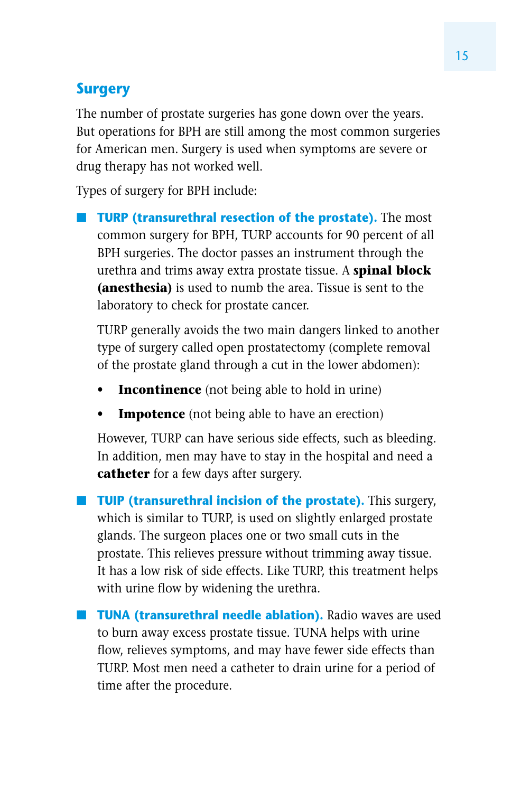# **Surgery**

The number of prostate surgeries has gone down over the years. But operations for BPH are still among the most common surgeries for American men. Surgery is used when symptoms are severe or drug therapy has not worked well.

Types of surgery for BPH include:

**II** TURP (transurethral resection of the prostate). The most common surgery for BPH, TURP accounts for 90 percent of all BPH surgeries. The doctor passes an instrument through the urethra and trims away extra prostate tissue. A **spinal block (anesthesia)** is used to numb the area. Tissue is sent to the laboratory to check for prostate cancer.

TURP generally avoids the two main dangers linked to another type of surgery called open prostatectomy (complete removal of the prostate gland through a cut in the lower abdomen):

- **Incontinence** (not being able to hold in urine)
- **Impotence** (not being able to have an erection)

However, TURP can have serious side effects, such as bleeding. In addition, men may have to stay in the hospital and need a **catheter** for a few days after surgery.

**II** TUIP (transurethral incision of the prostate). This surgery, which is similar to TURP, is used on slightly enlarged prostate glands. The surgeon places one or two small cuts in the prostate. This relieves pressure without trimming away tissue. It has a low risk of side effects. Like TURP, this treatment helps with urine flow by widening the urethra.

**II TUNA (transurethral needle ablation).** Radio waves are used to burn away excess prostate tissue. TUNA helps with urine flow, relieves symptoms, and may have fewer side effects than TURP. Most men need a catheter to drain urine for a period of time after the procedure.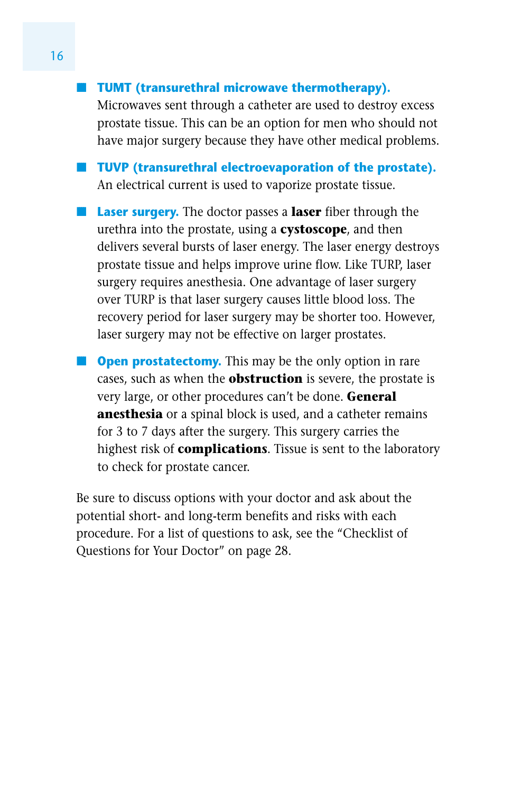- **II** TUMT (transurethral microwave thermotherapy). Microwaves sent through a catheter are used to destroy excess prostate tissue. This can be an option for men who should not have major surgery because they have other medical problems.
- **II** TUVP (transurethral electroevaporation of the prostate). An electrical current is used to vaporize prostate tissue.
- **I** Laser surgery. The doctor passes a laser fiber through the urethra into the prostate, using a **cystoscope**, and then delivers several bursts of laser energy. The laser energy destroys prostate tissue and helps improve urine flow. Like TURP, laser surgery requires anesthesia. One advantage of laser surgery over TURP is that laser surgery causes little blood loss. The recovery period for laser surgery may be shorter too. However, laser surgery may not be effective on larger prostates.
- **I** Open prostatectomy. This may be the only option in rare cases, such as when the **obstruction** is severe, the prostate is very large, or other procedures can't be done. **General anesthesia** or a spinal block is used, and a catheter remains for 3 to 7 days after the surgery. This surgery carries the highest risk of **complications**. Tissue is sent to the laboratory to check for prostate cancer.

Be sure to discuss options with your doctor and ask about the potential short- and long-term benefits and risks with each procedure. For a list of questions to ask, see the "Checklist of Questions for Your Doctor" on page 28.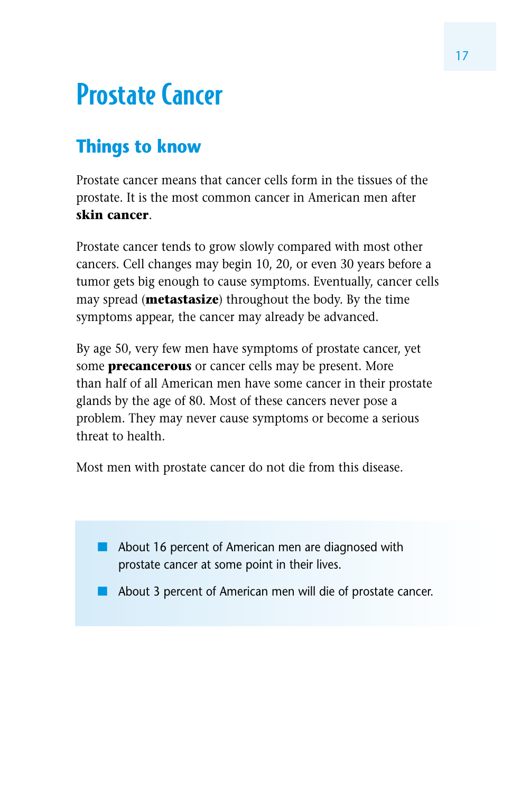# Prostate Cancer

# **Things to know**

Prostate cancer means that cancer cells form in the tissues of the prostate. It is the most common cancer in American men after **skin cancer**.

Prostate cancer tends to grow slowly compared with most other cancers. Cell changes may begin 10, 20, or even 30 years before a tumor gets big enough to cause symptoms. Eventually, cancer cells may spread (**metastasize**) throughout the body. By the time symptoms appear, the cancer may already be advanced.

By age 50, very few men have symptoms of prostate cancer, yet some **precancerous** or cancer cells may be present. More than half of all American men have some cancer in their prostate glands by the age of 80. Most of these cancers never pose a problem. They may never cause symptoms or become a serious threat to health.

Most men with prostate cancer do not die from this disease.

 $\blacksquare$  About 16 percent of American men are diagnosed with prostate cancer at some point in their lives.

**I** About 3 percent of American men will die of prostate cancer.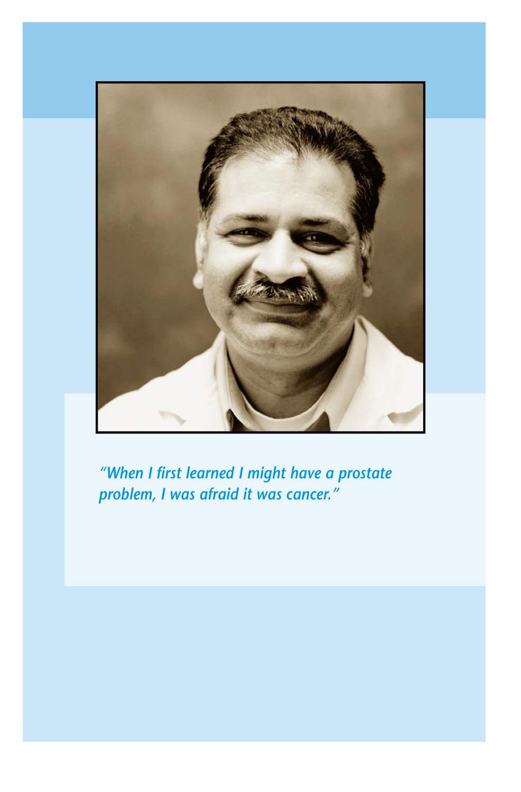

*"When I first learned I might have a prostate problem, I was afraid it was cancer."*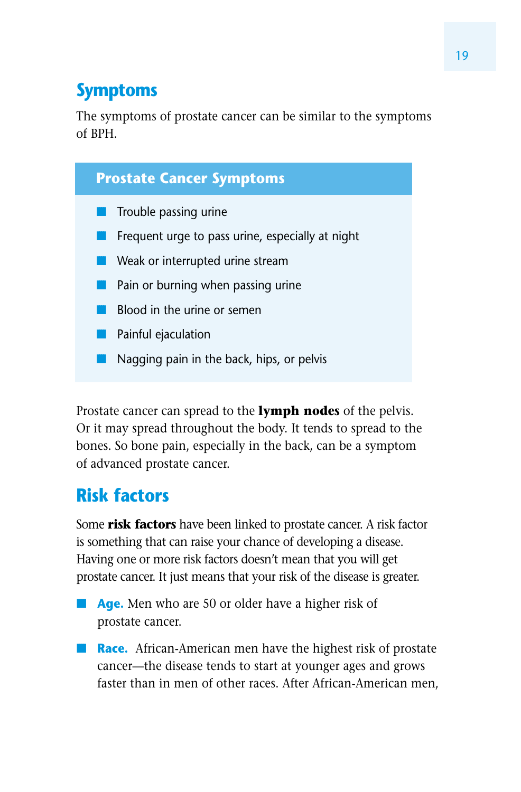# **Symptoms**

The symptoms of prostate cancer can be similar to the symptoms of BPH.

| <b>Prostate Cancer Symptoms</b>                  |  |
|--------------------------------------------------|--|
| Trouble passing urine                            |  |
| Frequent urge to pass urine, especially at night |  |
| Weak or interrupted urine stream                 |  |
| Pain or burning when passing urine               |  |
| Blood in the urine or semen                      |  |
| Painful ejaculation                              |  |
| Nagging pain in the back, hips, or pelvis        |  |

Prostate cancer can spread to the **lymph nodes** of the pelvis. Or it may spread throughout the body. It tends to spread to the bones. So bone pain, especially in the back, can be a symptom of advanced prostate cancer.

# **Risk factors**

Some **risk factors** have been linked to prostate cancer. A risk factor is something that can raise your chance of developing a disease. Having one or more risk factors doesn't mean that you will get prostate cancer. It just means that your risk of the disease is greater.

- **Age.** Men who are 50 or older have a higher risk of prostate cancer.
- **Race.** African-American men have the highest risk of prostate cancer—the disease tends to start at younger ages and grows faster than in men of other races. After African-American men,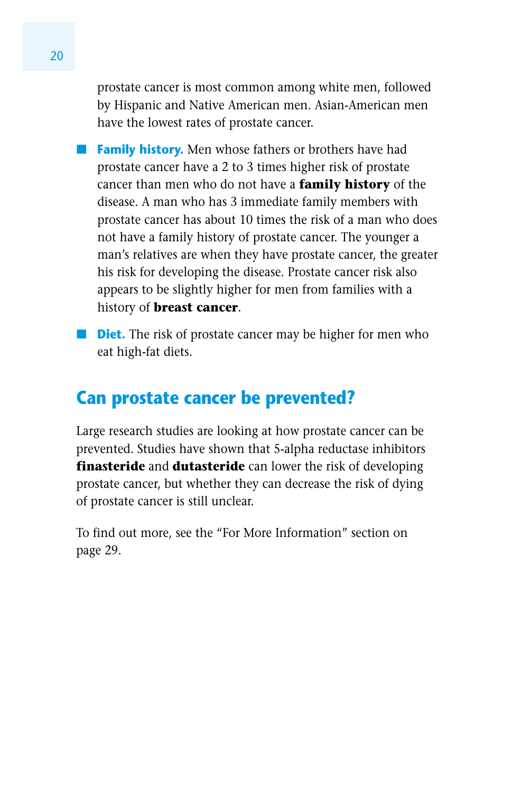prostate cancer is most common among white men, followed by Hispanic and Native American men. Asian-American men have the lowest rates of prostate cancer.

- **I** Family history. Men whose fathers or brothers have had prostate cancer have a 2 to 3 times higher risk of prostate cancer than men who do not have a **family history** of the disease. A man who has 3 immediate family members with prostate cancer has about 10 times the risk of a man who does not have a family history of prostate cancer. The younger a man's relatives are when they have prostate cancer, the greater his risk for developing the disease. Prostate cancer risk also appears to be slightly higher for men from families with a history of **breast cancer**.
- **I Diet.** The risk of prostate cancer may be higher for men who eat high-fat diets.

# **Can prostate cancer be prevented?**

Large research studies are looking at how prostate cancer can be prevented. Studies have shown that 5-alpha reductase inhibitors **finasteride** and **dutasteride** can lower the risk of developing prostate cancer, but whether they can decrease the risk of dying of prostate cancer is still unclear.

To find out more, see the "For More Information" section on page 29.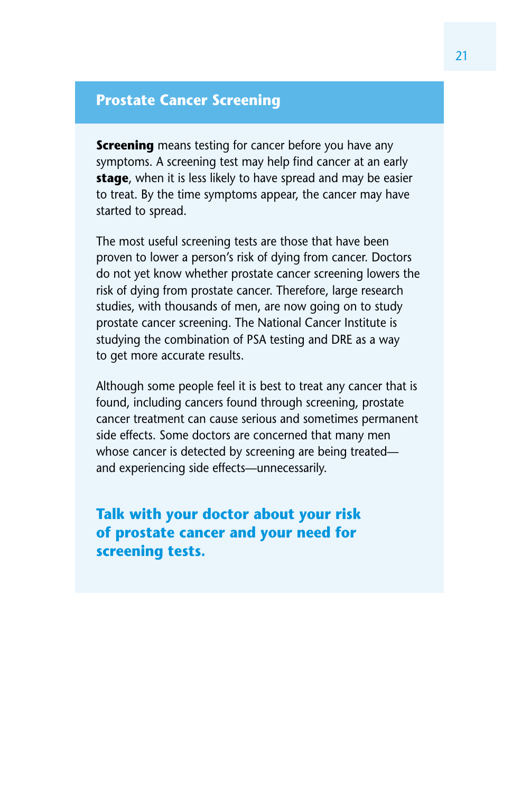### **Prostate Cancer Screening**

**Screening** means testing for cancer before you have any symptoms. A screening test may help find cancer at an early **stage**, when it is less likely to have spread and may be easier to treat. By the time symptoms appear, the cancer may have started to spread.

The most useful screening tests are those that have been proven to lower a person's risk of dying from cancer. Doctors do not yet know whether prostate cancer screening lowers the risk of dying from prostate cancer. Therefore, large research studies, with thousands of men, are now going on to study prostate cancer screening. The National Cancer Institute is studying the combination of PSA testing and DRE as a way to get more accurate results.

Although some people feel it is best to treat any cancer that is found, including cancers found through screening, prostate cancer treatment can cause serious and sometimes permanent side effects. Some doctors are concerned that many men whose cancer is detected by screening are being treated and experiencing side effects—unnecessarily.

**Talk with your doctor about your risk of prostate cancer and your need for screening tests.**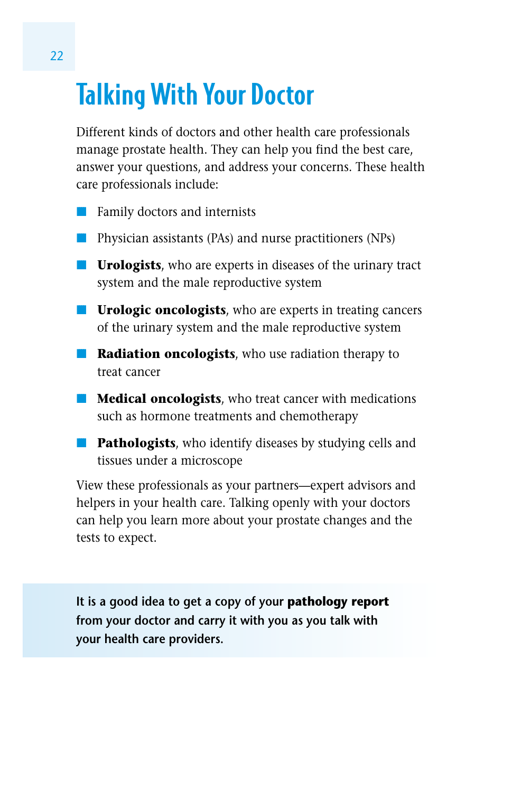# Talking With Your Doctor

Different kinds of doctors and other health care professionals manage prostate health. They can help you find the best care, answer your questions, and address your concerns. These health care professionals include:

- Family doctors and internists
- Physician assistants (PAs) and nurse practitioners (NPs)
- **I** Urologists, who are experts in diseases of the urinary tract system and the male reproductive system
- **I** Urologic oncologists, who are experts in treating cancers of the urinary system and the male reproductive system
- **Radiation oncologists**, who use radiation therapy to treat cancer
- **I** Medical oncologists, who treat cancer with medications such as hormone treatments and chemotherapy
- **I** Pathologists, who identify diseases by studying cells and tissues under a microscope

View these professionals as your partners—expert advisors and helpers in your health care. Talking openly with your doctors can help you learn more about your prostate changes and the tests to expect.

**It is a good idea to get a copy of your pathology report from your doctor and carry it with you as you talk with your health care providers.**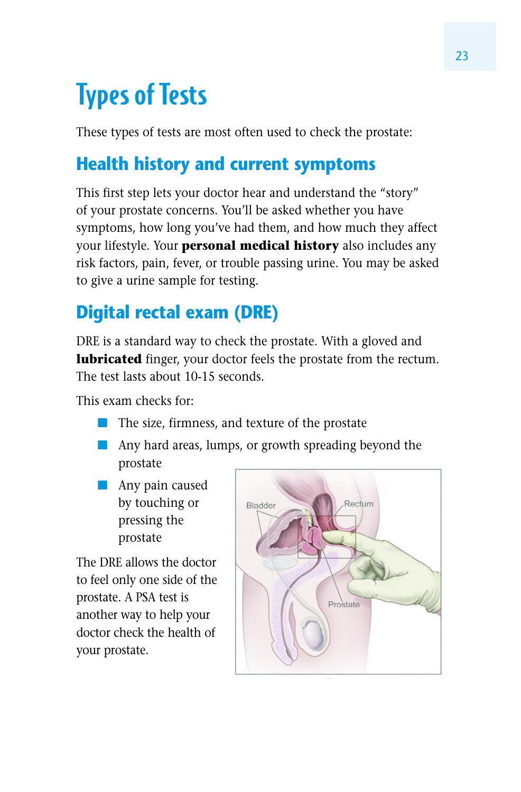# Types of Tests

These types of tests are most often used to check the prostate:

# **Health history and current symptoms**

This first step lets your doctor hear and understand the "story" of your prostate concerns. You'll be asked whether you have symptoms, how long you've had them, and how much they affect your lifestyle. Your **personal medical history** also includes any risk factors, pain, fever, or trouble passing urine. You may be asked to give a urine sample for testing.

# **Digital rectal exam (DRE)**

DRE is a standard way to check the prostate. With a gloved and **lubricated** finger, your doctor feels the prostate from the rectum. The test lasts about 10-15 seconds.

This exam checks for:

- $\blacksquare$  The size, firmness, and texture of the prostate
- I Any hard areas, lumps, or growth spreading beyond the prostate
- **I** Any pain caused by touching or pressing the prostate

The DRE allows the doctor to feel only one side of the prostate. A PSA test is another way to help your doctor check the health of your prostate.

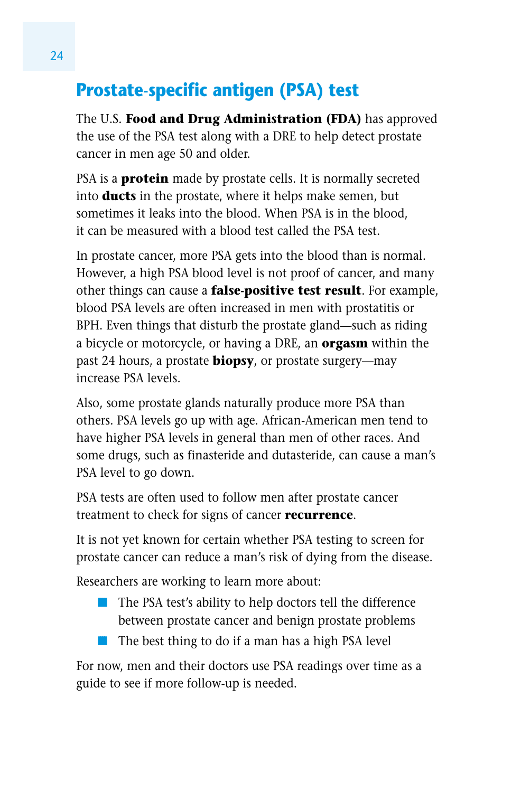# **Prostate-specific antigen (PSA) test**

The U.S. **Food and Drug Administration (FDA)** has approved the use of the PSA test along with a DRE to help detect prostate cancer in men age 50 and older.

PSA is a **protein** made by prostate cells. It is normally secreted into **ducts** in the prostate, where it helps make semen, but sometimes it leaks into the blood. When PSA is in the blood, it can be measured with a blood test called the PSA test.

In prostate cancer, more PSA gets into the blood than is normal. However, a high PSA blood level is not proof of cancer, and many other things can cause a **false-positive test result**. For example, blood PSA levels are often increased in men with prostatitis or BPH. Even things that disturb the prostate gland—such as riding a bicycle or motorcycle, or having a DRE, an **orgasm** within the past 24 hours, a prostate **biopsy**, or prostate surgery—may increase PSA levels.

Also, some prostate glands naturally produce more PSA than others. PSA levels go up with age. African-American men tend to have higher PSA levels in general than men of other races. And some drugs, such as finasteride and dutasteride, can cause a man's PSA level to go down.

PSA tests are often used to follow men after prostate cancer treatment to check for signs of cancer **recurrence**.

It is not yet known for certain whether PSA testing to screen for prostate cancer can reduce a man's risk of dying from the disease.

Researchers are working to learn more about:

- The PSA test's ability to help doctors tell the difference between prostate cancer and benign prostate problems
- The best thing to do if a man has a high PSA level

For now, men and their doctors use PSA readings over time as a guide to see if more follow-up is needed.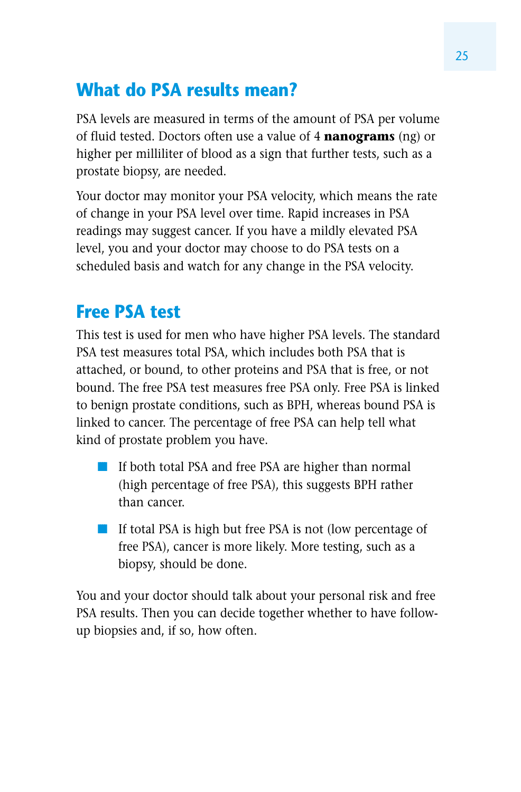# **What do PSA results mean?**

PSA levels are measured in terms of the amount of PSA per volume of fluid tested. Doctors often use a value of 4 **nanograms** (ng) or higher per milliliter of blood as a sign that further tests, such as a prostate biopsy, are needed.

Your doctor may monitor your PSA velocity, which means the rate of change in your PSA level over time. Rapid increases in PSA readings may suggest cancer. If you have a mildly elevated PSA level, you and your doctor may choose to do PSA tests on a scheduled basis and watch for any change in the PSA velocity.

# **Free PSA test**

This test is used for men who have higher PSA levels. The standard PSA test measures total PSA, which includes both PSA that is attached, or bound, to other proteins and PSA that is free, or not bound. The free PSA test measures free PSA only. Free PSA is linked to benign prostate conditions, such as BPH, whereas bound PSA is linked to cancer. The percentage of free PSA can help tell what kind of prostate problem you have.

- $\blacksquare$  If both total PSA and free PSA are higher than normal (high percentage of free PSA), this suggests BPH rather than cancer.
- If total PSA is high but free PSA is not (low percentage of free PSA), cancer is more likely. More testing, such as a biopsy, should be done.

You and your doctor should talk about your personal risk and free PSA results. Then you can decide together whether to have followup biopsies and, if so, how often.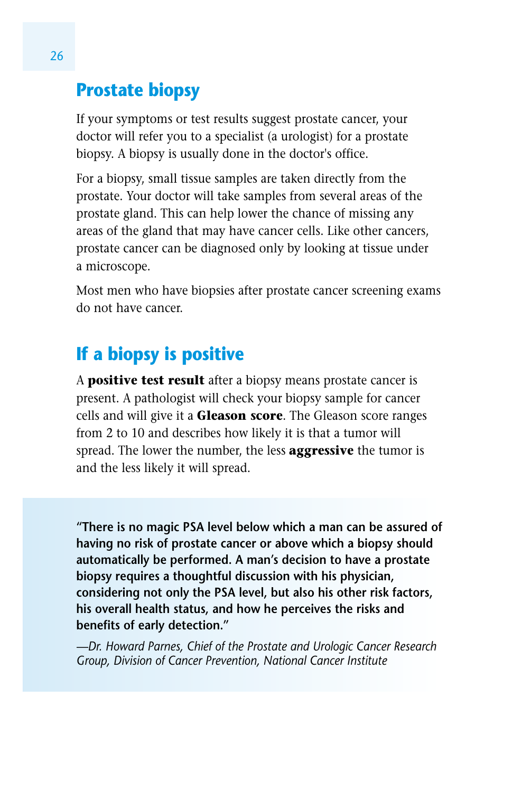# **Prostate biopsy**

If your symptoms or test results suggest prostate cancer, your doctor will refer you to a specialist (a urologist) for a prostate biopsy. A biopsy is usually done in the doctor's office.

For a biopsy, small tissue samples are taken directly from the prostate. Your doctor will take samples from several areas of the prostate gland. This can help lower the chance of missing any areas of the gland that may have cancer cells. Like other cancers, prostate cancer can be diagnosed only by looking at tissue under a microscope.

Most men who have biopsies after prostate cancer screening exams do not have cancer.

# **If a biopsy is positive**

A **positive test result** after a biopsy means prostate cancer is present. A pathologist will check your biopsy sample for cancer cells and will give it a **Gleason score**. The Gleason score ranges from 2 to 10 and describes how likely it is that a tumor will spread. The lower the number, the less **aggressive** the tumor is and the less likely it will spread.

**"There is no magic PSA level below which a man can be assured of having no risk of prostate cancer or above which a biopsy should automatically be performed. A man's decision to have a prostate biopsy requires a thoughtful discussion with his physician, considering not only the PSA level, but also his other risk factors, his overall health status, and how he perceives the risks and benefits of early detection."**

*—Dr. Howard Parnes, Chief of the Prostate and Urologic Cancer Research Group, Division of Cancer Prevention, National Cancer Institute*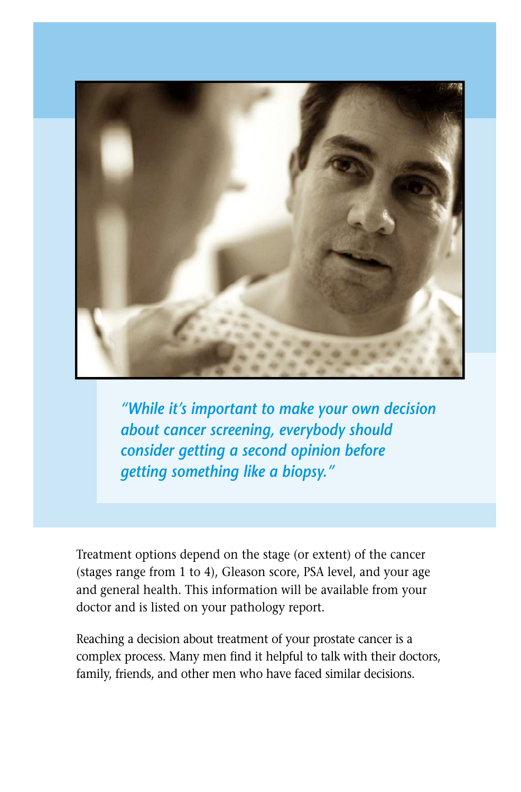

*"While it's important to make your own decision about cancer screening, everybody should consider getting a second opinion before getting something like a biopsy."*

Treatment options depend on the stage (or extent) of the cancer (stages range from 1 to 4), Gleason score, PSA level, and your age and general health. This information will be available from your doctor and is listed on your pathology report.

Reaching a decision about treatment of your prostate cancer is a complex process. Many men find it helpful to talk with their doctors, family, friends, and other men who have faced similar decisions.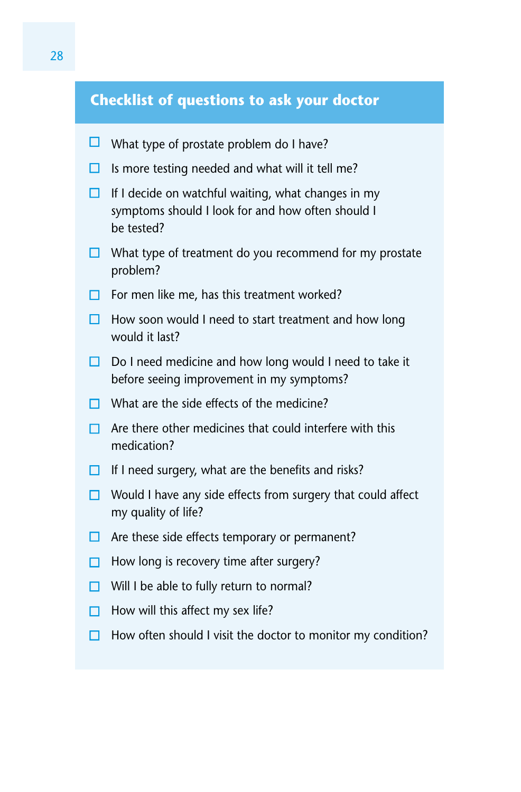# **Checklist of questions to ask your doctor**

- $\Box$  What type of prostate problem do I have?
- $\Box$  Is more testing needed and what will it tell me?
- $\Box$  If I decide on watchful waiting, what changes in my symptoms should I look for and how often should I be tested?
- $\Box$  What type of treatment do you recommend for my prostate problem?
- $\Box$  For men like me, has this treatment worked?
- $\Box$  How soon would I need to start treatment and how long would it last?
- $\Box$  Do I need medicine and how long would I need to take it before seeing improvement in my symptoms?
- $\Box$  What are the side effects of the medicine?
- $\Box$  Are there other medicines that could interfere with this medication?
- $\Box$  If I need surgery, what are the benefits and risks?
- $\Box$  Would I have any side effects from surgery that could affect my quality of life?
- $\Box$  Are these side effects temporary or permanent?
- $\Box$  How long is recovery time after surgery?
- $\Box$  Will I be able to fully return to normal?
- $\Box$  How will this affect my sex life?
- $\Box$  How often should I visit the doctor to monitor my condition?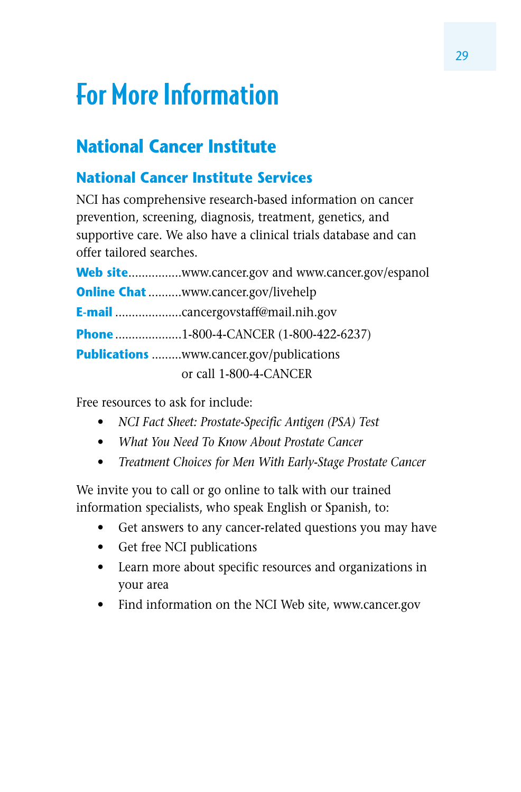# For More Information

# **National Cancer Institute**

# **National Cancer Institute Services**

NCI has comprehensive research-based information on cancer prevention, screening, diagnosis, treatment, genetics, and supportive care. We also have a clinical trials database and can offer tailored searches.

**Web site**................www.cancer.gov and www.cancer.gov/espanol **Online Chat** ..........www.cancer.gov/livehelp **E-mail** ....................cancergovstaff@mail.nih.gov **Phone** ....................1-800-4-CANCER (1-800-422-6237) **Publications** .........www.cancer.gov/publications or call 1-800-4-CANCER

Free resources to ask for include:

- *NCI Fact Sheet: Prostate-Specific Antigen (PSA) Test*
- *What You Need To Know About Prostate Cancer*
- *Treatment Choices for Men With Early-Stage Prostate Cancer*

We invite you to call or go online to talk with our trained information specialists, who speak English or Spanish, to:

- Get answers to any cancer-related questions you may have
- Get free NCI publications
- Learn more about specific resources and organizations in your area
- Find information on the NCI Web site, www.cancer.gov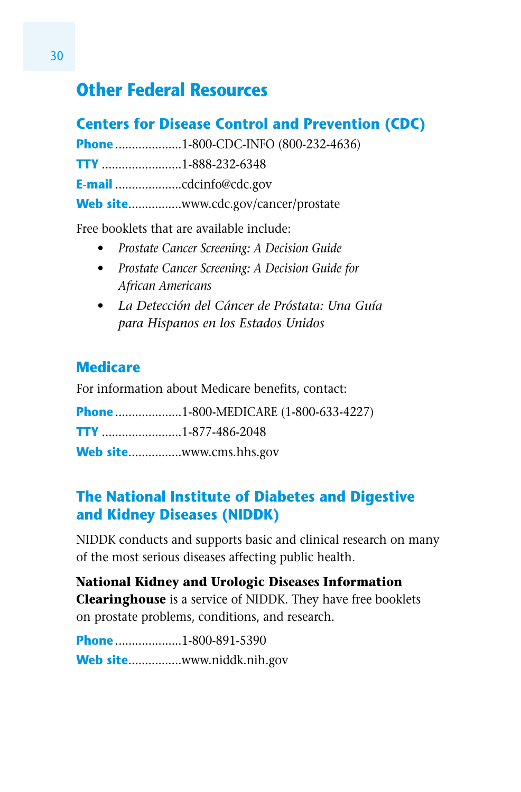# **Other Federal Resources**

# **Centers for Disease Control and Prevention (CDC)**

**Phone** ....................1-800-CDC-INFO (800-232-4636) **TTY** ........................1-888-232-6348 **E-mail** ....................cdcinfo@cdc.gov **Web site**................www.cdc.gov/cancer/prostate

Free booklets that are available include:

- *Prostate Cancer Screening: A Decision Guide*
- *Prostate Cancer Screening: A Decision Guide for African Americans*
- *La Detección del Cáncer de Próstata: Una Guía para Hispanos en los Estados Unidos*

# **Medicare**

For information about Medicare benefits, contact:

| <b>Phone</b> 1-800-MEDICARE (1-800-633-4227) |
|----------------------------------------------|
|                                              |
| Web sitewww.cms.hhs.gov                      |

# **The National Institute of Diabetes and Digestive and Kidney Diseases (NIDDK)**

NIDDK conducts and supports basic and clinical research on many of the most serious diseases affecting public health.

**National Kidney and Urologic Diseases Information Clearinghouse** is a service of NIDDK. They have free booklets on prostate problems, conditions, and research.

**Phone** ....................1-800-891-5390 **Web site**................www.niddk.nih.gov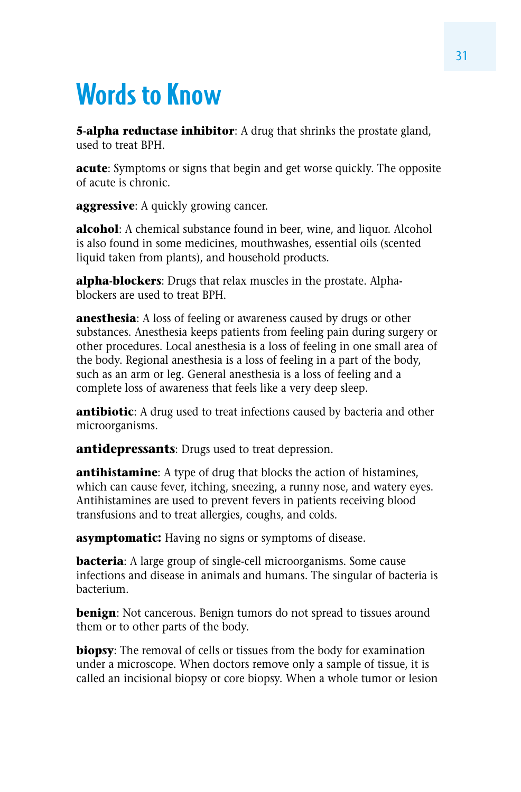# Words to Know

**5-alpha reductase inhibitor**: A drug that shrinks the prostate gland, used to treat BPH.

**acute**: Symptoms or signs that begin and get worse quickly. The opposite of acute is chronic.

**aggressive**: A quickly growing cancer.

**alcohol**: A chemical substance found in beer, wine, and liquor. Alcohol is also found in some medicines, mouthwashes, essential oils (scented liquid taken from plants), and household products.

**alpha-blockers**: Drugs that relax muscles in the prostate. Alphablockers are used to treat BPH.

**anesthesia**: A loss of feeling or awareness caused by drugs or other substances. Anesthesia keeps patients from feeling pain during surgery or other procedures. Local anesthesia is a loss of feeling in one small area of the body. Regional anesthesia is a loss of feeling in a part of the body, such as an arm or leg. General anesthesia is a loss of feeling and a complete loss of awareness that feels like a very deep sleep.

**antibiotic**: A drug used to treat infections caused by bacteria and other microorganisms.

**antidepressants**: Drugs used to treat depression.

**antihistamine**: A type of drug that blocks the action of histamines, which can cause fever, itching, sneezing, a runny nose, and watery eyes. Antihistamines are used to prevent fevers in patients receiving blood transfusions and to treat allergies, coughs, and colds.

**asymptomatic:** Having no signs or symptoms of disease.

**bacteria**: A large group of single-cell microorganisms. Some cause infections and disease in animals and humans. The singular of bacteria is bacterium.

**benign**: Not cancerous. Benign tumors do not spread to tissues around them or to other parts of the body.

**biopsy**: The removal of cells or tissues from the body for examination under a microscope. When doctors remove only a sample of tissue, it is called an incisional biopsy or core biopsy. When a whole tumor or lesion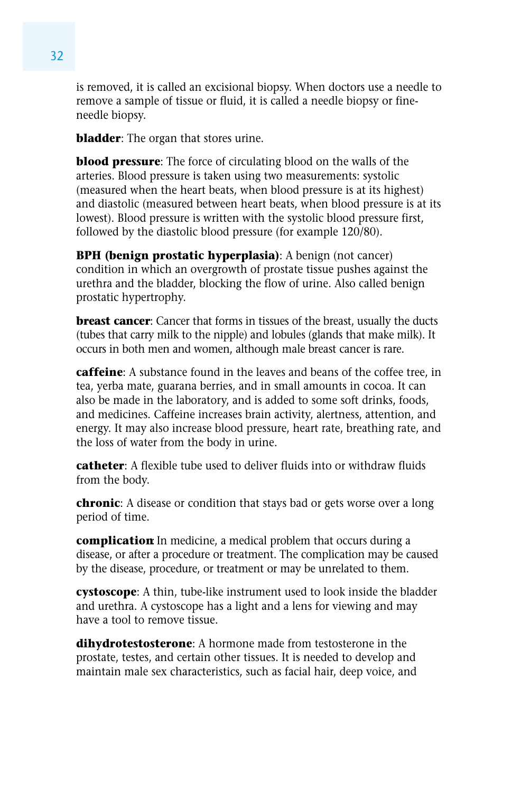is removed, it is called an excisional biopsy. When doctors use a needle to remove a sample of tissue or fluid, it is called a needle biopsy or fineneedle biopsy.

**bladder**: The organ that stores urine.

**blood pressure**: The force of circulating blood on the walls of the arteries. Blood pressure is taken using two measurements: systolic (measured when the heart beats, when blood pressure is at its highest) and diastolic (measured between heart beats, when blood pressure is at its lowest). Blood pressure is written with the systolic blood pressure first, followed by the diastolic blood pressure (for example 120/80).

**BPH (benign prostatic hyperplasia)**: A benign (not cancer) condition in which an overgrowth of prostate tissue pushes against the urethra and the bladder, blocking the flow of urine. Also called benign prostatic hypertrophy.

**breast cancer**: Cancer that forms in tissues of the breast, usually the ducts (tubes that carry milk to the nipple) and lobules (glands that make milk). It occurs in both men and women, although male breast cancer is rare.

**caffeine**: A substance found in the leaves and beans of the coffee tree, in tea, yerba mate, guarana berries, and in small amounts in cocoa. It can also be made in the laboratory, and is added to some soft drinks, foods, and medicines. Caffeine increases brain activity, alertness, attention, and energy. It may also increase blood pressure, heart rate, breathing rate, and the loss of water from the body in urine.

**catheter**: A flexible tube used to deliver fluids into or withdraw fluids from the body.

**chronic**: A disease or condition that stays bad or gets worse over a long period of time.

**complication** In medicine, a medical problem that occurs during a disease, or after a procedure or treatment. The complication may be caused by the disease, procedure, or treatment or may be unrelated to them.

**cystoscope**: A thin, tube-like instrument used to look inside the bladder and urethra. A cystoscope has a light and a lens for viewing and may have a tool to remove tissue.

**dihydrotestosterone**: A hormone made from testosterone in the prostate, testes, and certain other tissues. It is needed to develop and maintain male sex characteristics, such as facial hair, deep voice, and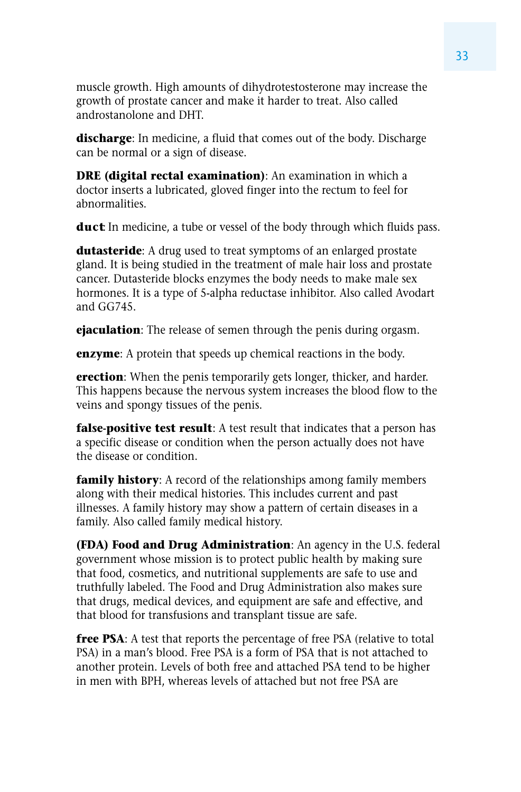muscle growth. High amounts of dihydrotestosterone may increase the growth of prostate cancer and make it harder to treat. Also called androstanolone and DHT.

**discharge**: In medicine, a fluid that comes out of the body. Discharge can be normal or a sign of disease.

**DRE (digital rectal examination)**: An examination in which a doctor inserts a lubricated, gloved finger into the rectum to feel for abnormalities.

**duct** In medicine, a tube or vessel of the body through which fluids pass.

**dutasteride**: A drug used to treat symptoms of an enlarged prostate gland. It is being studied in the treatment of male hair loss and prostate cancer. Dutasteride blocks enzymes the body needs to make male sex hormones. It is a type of 5-alpha reductase inhibitor. Also called Avodart and GG745.

**ejaculation**: The release of semen through the penis during orgasm.

**enzyme**: A protein that speeds up chemical reactions in the body.

**erection**: When the penis temporarily gets longer, thicker, and harder. This happens because the nervous system increases the blood flow to the veins and spongy tissues of the penis.

**false-positive test result**: A test result that indicates that a person has a specific disease or condition when the person actually does not have the disease or condition.

**family history**: A record of the relationships among family members along with their medical histories. This includes current and past illnesses. A family history may show a pattern of certain diseases in a family. Also called family medical history.

**(FDA) Food and Drug Administration**: An agency in the U.S. federal government whose mission is to protect public health by making sure that food, cosmetics, and nutritional supplements are safe to use and truthfully labeled. The Food and Drug Administration also makes sure that drugs, medical devices, and equipment are safe and effective, and that blood for transfusions and transplant tissue are safe.

**free PSA**: A test that reports the percentage of free PSA (relative to total PSA) in a man's blood. Free PSA is a form of PSA that is not attached to another protein. Levels of both free and attached PSA tend to be higher in men with BPH, whereas levels of attached but not free PSA are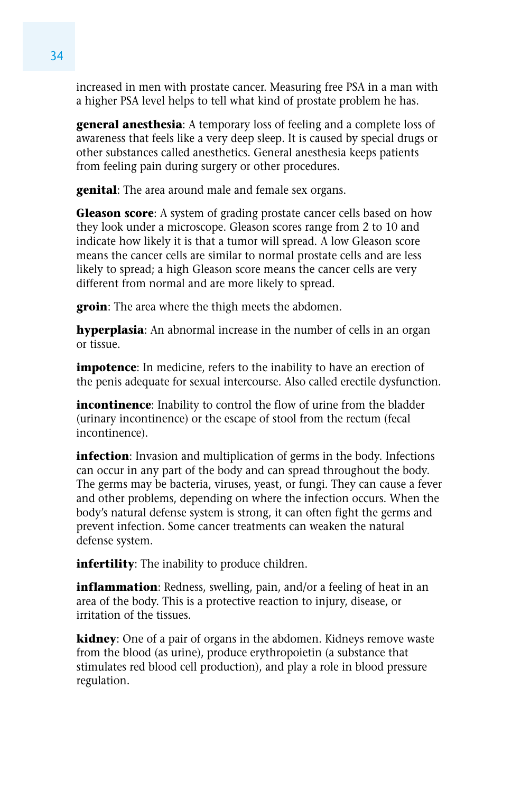increased in men with prostate cancer. Measuring free PSA in a man with a higher PSA level helps to tell what kind of prostate problem he has.

**general anesthesia**: A temporary loss of feeling and a complete loss of awareness that feels like a very deep sleep. It is caused by special drugs or other substances called anesthetics. General anesthesia keeps patients from feeling pain during surgery or other procedures.

**genital**: The area around male and female sex organs.

**Gleason score:** A system of grading prostate cancer cells based on how they look under a microscope. Gleason scores range from 2 to 10 and indicate how likely it is that a tumor will spread. A low Gleason score means the cancer cells are similar to normal prostate cells and are less likely to spread; a high Gleason score means the cancer cells are very different from normal and are more likely to spread.

**groin**: The area where the thigh meets the abdomen.

**hyperplasia**: An abnormal increase in the number of cells in an organ or tissue.

**impotence**: In medicine, refers to the inability to have an erection of the penis adequate for sexual intercourse. Also called erectile dysfunction.

**incontinence**: Inability to control the flow of urine from the bladder (urinary incontinence) or the escape of stool from the rectum (fecal incontinence).

**infection**: Invasion and multiplication of germs in the body. Infections can occur in any part of the body and can spread throughout the body. The germs may be bacteria, viruses, yeast, or fungi. They can cause a fever and other problems, depending on where the infection occurs. When the body's natural defense system is strong, it can often fight the germs and prevent infection. Some cancer treatments can weaken the natural defense system.

**infertility**: The inability to produce children.

**inflammation**: Redness, swelling, pain, and/or a feeling of heat in an area of the body. This is a protective reaction to injury, disease, or irritation of the tissues.

**kidney**: One of a pair of organs in the abdomen. Kidneys remove waste from the blood (as urine), produce erythropoietin (a substance that stimulates red blood cell production), and play a role in blood pressure regulation.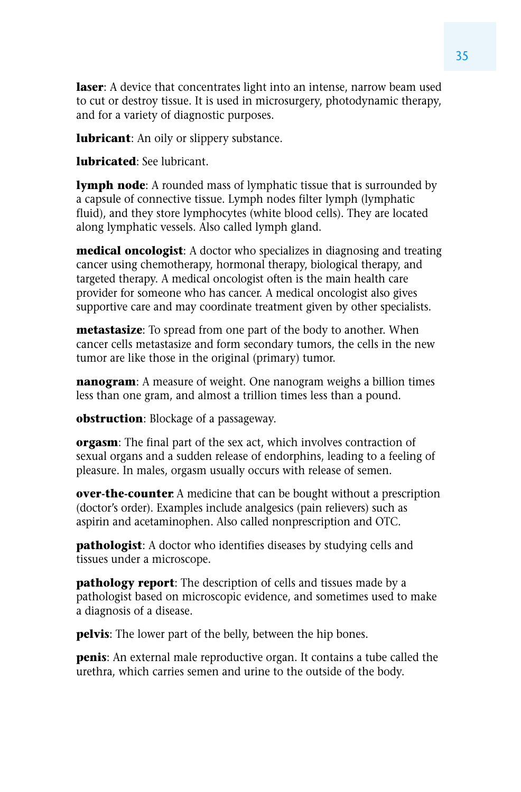**laser**: A device that concentrates light into an intense, narrow beam used to cut or destroy tissue. It is used in microsurgery, photodynamic therapy, and for a variety of diagnostic purposes.

**lubricant**: An oily or slippery substance.

**lubricated**: See lubricant.

**lymph node:** A rounded mass of lymphatic tissue that is surrounded by a capsule of connective tissue. Lymph nodes filter lymph (lymphatic fluid), and they store lymphocytes (white blood cells). They are located along lymphatic vessels. Also called lymph gland.

**medical oncologist**: A doctor who specializes in diagnosing and treating cancer using chemotherapy, hormonal therapy, biological therapy, and targeted therapy. A medical oncologist often is the main health care provider for someone who has cancer. A medical oncologist also gives supportive care and may coordinate treatment given by other specialists.

**metastasize**: To spread from one part of the body to another. When cancer cells metastasize and form secondary tumors, the cells in the new tumor are like those in the original (primary) tumor.

**nanogram**: A measure of weight. One nanogram weighs a billion times less than one gram, and almost a trillion times less than a pound.

**obstruction**: Blockage of a passageway.

**orgasm**: The final part of the sex act, which involves contraction of sexual organs and a sudden release of endorphins, leading to a feeling of pleasure. In males, orgasm usually occurs with release of semen.

**over-the-counter**. A medicine that can be bought without a prescription (doctor's order). Examples include analgesics (pain relievers) such as aspirin and acetaminophen. Also called nonprescription and OTC.

**pathologist**: A doctor who identifies diseases by studying cells and tissues under a microscope.

**pathology report**: The description of cells and tissues made by a pathologist based on microscopic evidence, and sometimes used to make a diagnosis of a disease.

**pelvis**: The lower part of the belly, between the hip bones.

**penis**: An external male reproductive organ. It contains a tube called the urethra, which carries semen and urine to the outside of the body.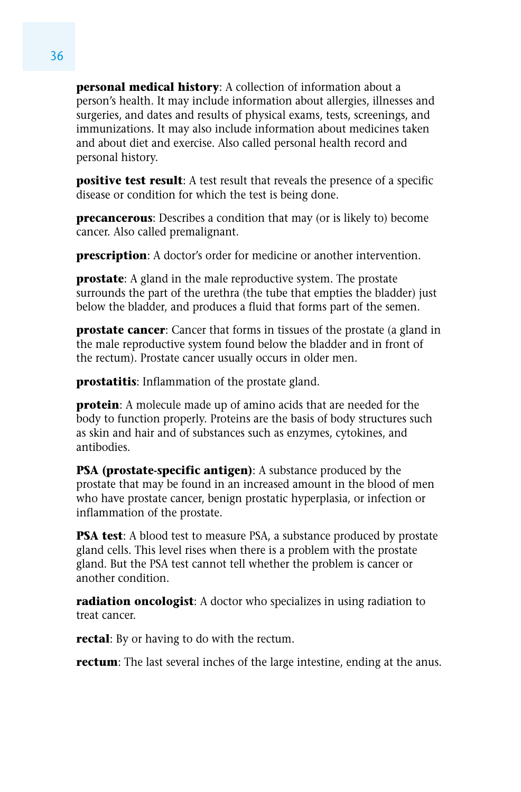**personal medical history**: A collection of information about a person's health. It may include information about allergies, illnesses and surgeries, and dates and results of physical exams, tests, screenings, and immunizations. It may also include information about medicines taken and about diet and exercise. Also called personal health record and personal history.

**positive test result**: A test result that reveals the presence of a specific disease or condition for which the test is being done.

**precancerous**: Describes a condition that may (or is likely to) become cancer. Also called premalignant.

**prescription**: A doctor's order for medicine or another intervention.

**prostate**: A gland in the male reproductive system. The prostate surrounds the part of the urethra (the tube that empties the bladder) just below the bladder, and produces a fluid that forms part of the semen.

**prostate cancer**: Cancer that forms in tissues of the prostate (a gland in the male reproductive system found below the bladder and in front of the rectum). Prostate cancer usually occurs in older men.

**prostatitis**: Inflammation of the prostate gland.

**protein**: A molecule made up of amino acids that are needed for the body to function properly. Proteins are the basis of body structures such as skin and hair and of substances such as enzymes, cytokines, and antibodies.

**PSA (prostate-specific antigen)**: A substance produced by the prostate that may be found in an increased amount in the blood of men who have prostate cancer, benign prostatic hyperplasia, or infection or inflammation of the prostate.

**PSA test**: A blood test to measure PSA, a substance produced by prostate gland cells. This level rises when there is a problem with the prostate gland. But the PSA test cannot tell whether the problem is cancer or another condition.

**radiation oncologist**: A doctor who specializes in using radiation to treat cancer.

**rectal**: By or having to do with the rectum.

**rectum**: The last several inches of the large intestine, ending at the anus.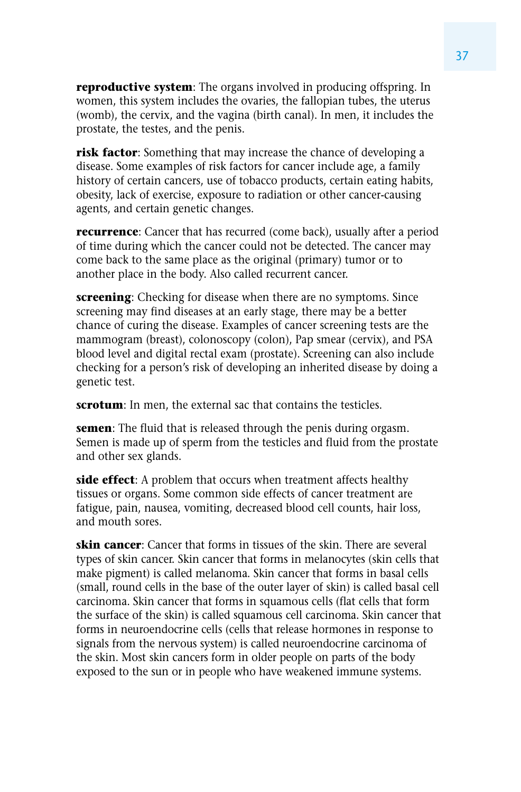**reproductive system**: The organs involved in producing offspring. In women, this system includes the ovaries, the fallopian tubes, the uterus (womb), the cervix, and the vagina (birth canal). In men, it includes the prostate, the testes, and the penis.

**risk factor**: Something that may increase the chance of developing a disease. Some examples of risk factors for cancer include age, a family history of certain cancers, use of tobacco products, certain eating habits, obesity, lack of exercise, exposure to radiation or other cancer-causing agents, and certain genetic changes.

**recurrence**: Cancer that has recurred (come back), usually after a period of time during which the cancer could not be detected. The cancer may come back to the same place as the original (primary) tumor or to another place in the body. Also called recurrent cancer.

**screening**: Checking for disease when there are no symptoms. Since screening may find diseases at an early stage, there may be a better chance of curing the disease. Examples of cancer screening tests are the mammogram (breast), colonoscopy (colon), Pap smear (cervix), and PSA blood level and digital rectal exam (prostate). Screening can also include checking for a person's risk of developing an inherited disease by doing a genetic test.

**scrotum**: In men, the external sac that contains the testicles.

**semen**: The fluid that is released through the penis during orgasm. Semen is made up of sperm from the testicles and fluid from the prostate and other sex glands.

**side effect**: A problem that occurs when treatment affects healthy tissues or organs. Some common side effects of cancer treatment are fatigue, pain, nausea, vomiting, decreased blood cell counts, hair loss, and mouth sores.

**skin cancer**: Cancer that forms in tissues of the skin. There are several types of skin cancer. Skin cancer that forms in melanocytes (skin cells that make pigment) is called melanoma. Skin cancer that forms in basal cells (small, round cells in the base of the outer layer of skin) is called basal cell carcinoma. Skin cancer that forms in squamous cells (flat cells that form the surface of the skin) is called squamous cell carcinoma. Skin cancer that forms in neuroendocrine cells (cells that release hormones in response to signals from the nervous system) is called neuroendocrine carcinoma of the skin. Most skin cancers form in older people on parts of the body exposed to the sun or in people who have weakened immune systems.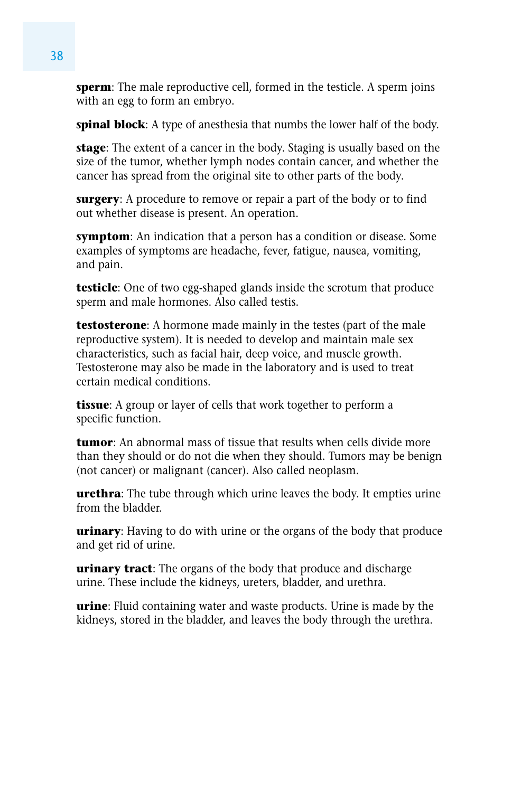**sperm**: The male reproductive cell, formed in the testicle. A sperm joins with an egg to form an embryo.

**spinal block**: A type of anesthesia that numbs the lower half of the body.

**stage**: The extent of a cancer in the body. Staging is usually based on the size of the tumor, whether lymph nodes contain cancer, and whether the cancer has spread from the original site to other parts of the body.

**surgery**: A procedure to remove or repair a part of the body or to find out whether disease is present. An operation.

**symptom**: An indication that a person has a condition or disease. Some examples of symptoms are headache, fever, fatigue, nausea, vomiting, and pain.

**testicle**: One of two egg-shaped glands inside the scrotum that produce sperm and male hormones. Also called testis.

**testosterone**: A hormone made mainly in the testes (part of the male reproductive system). It is needed to develop and maintain male sex characteristics, such as facial hair, deep voice, and muscle growth. Testosterone may also be made in the laboratory and is used to treat certain medical conditions.

**tissue**: A group or layer of cells that work together to perform a specific function.

**tumor**: An abnormal mass of tissue that results when cells divide more than they should or do not die when they should. Tumors may be benign (not cancer) or malignant (cancer). Also called neoplasm.

**urethra**: The tube through which urine leaves the body. It empties urine from the bladder.

**urinary**: Having to do with urine or the organs of the body that produce and get rid of urine.

**urinary tract**: The organs of the body that produce and discharge urine. These include the kidneys, ureters, bladder, and urethra.

**urine**: Fluid containing water and waste products. Urine is made by the kidneys, stored in the bladder, and leaves the body through the urethra.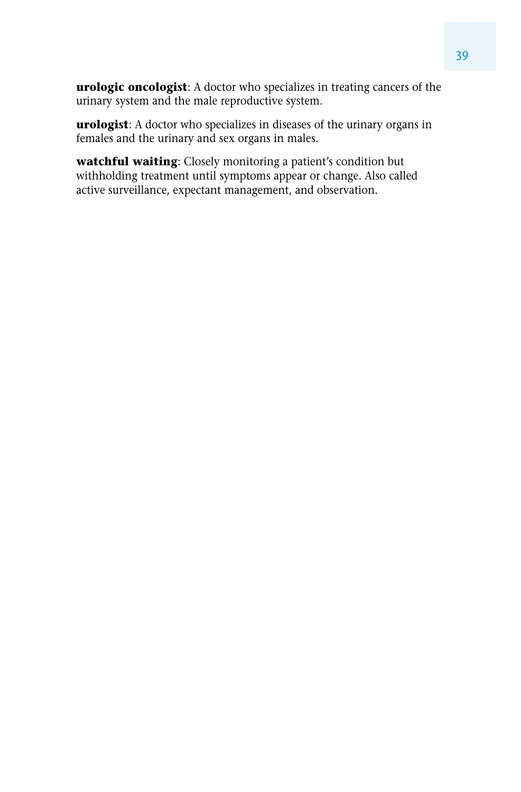**urologic oncologist**: A doctor who specializes in treating cancers of the urinary system and the male reproductive system.

**urologist**: A doctor who specializes in diseases of the urinary organs in females and the urinary and sex organs in males.

**watchful waiting**: Closely monitoring a patient's condition but withholding treatment until symptoms appear or change. Also called active surveillance, expectant management, and observation.